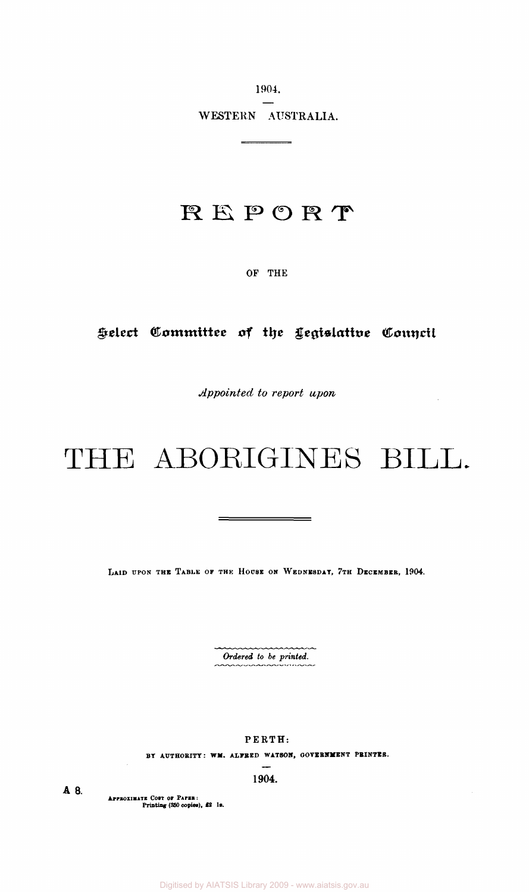1904.

WESTERN AUSTRALIA.

# **REPOR T**

**OF** THE

## *Select Committee of the Legislative Council*

*Appointed to report upon* 

 $\sim 10$ 

# THE ABORIGINES BILL.

LAID UPON THE TABLE OF THE HOUSE ON WEDNESDAY, 7TH DECEMBER, 1904.

*Ordered to be printed.* 

PERTH:

BY AUTHORITY: WM. ALFRED WATSON, GOVERNMENT PRINTER.

1904.

A 8. **APPROXIMATE COST OF PAPER:**  Printing (.150 copies), £2 **li.**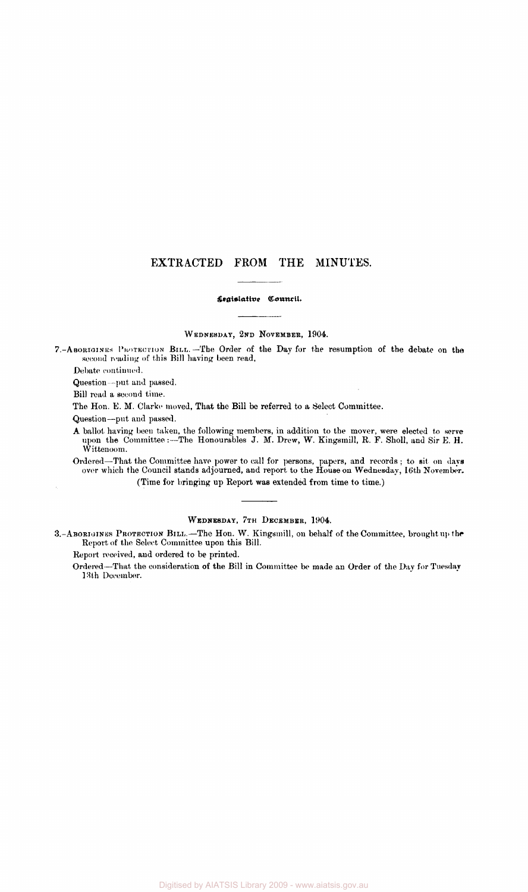### EXTRACTED FROM THE MINUTES.

#### Legislative Council.

#### WEDNESDAY, 2ND NOVEMBER, 1904.

ABORIGINES PROTECTION BILL.—The Order of the Day for the resumption of the debate on the second reading of this Bill having been read,

Debate continued.

Question —put and passed.

Bill read a second time.

The Hon. E, M. Clarke moved, That the Bill be referred to a Select Committee.

Question—put and passed.

- A ballot having been taken, the following members, in addition to the mover, were elected to serve upon the Committee :---The Honourables J. M. Drew, W. Kingsmill, R. F. Sholl, and Sir E. H. Wittenoom.
- Ordered—That the Committee have power to call for persons, papers, and records ; to sit on days over which the Council stands adjourned, and report to the House on Wednesday, 16th November. (Time for bringing up Report was extended from time to time.)

### WEDNESDAY, 7TH DECEMBER, 1904.

ABORIGINES PROTECTION BILL.—The Hon. W. Kingsmill, on behalf of the Committee, brought up the Report of the Select Committee upon this Bill.

Report received, and ordered to be printed.

Ordered—That the consideration of the Bill in Committee be made an Order of the Day for Tuesday 13th December.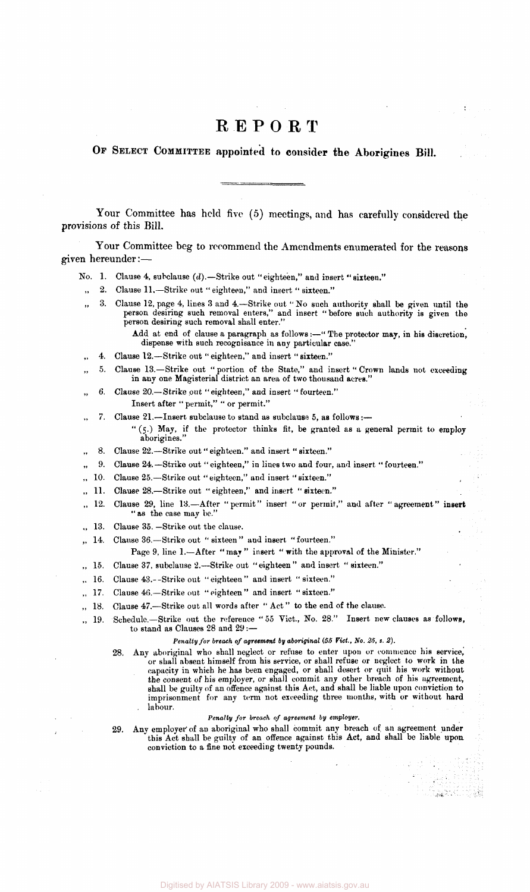# REPORT

### OF SELECT COMMITTEE appointed to consider the Aborigines Bill.

Your Committee has held five (5) meetings, and has carefully considered the provisions of this Bill.

Your Committee beg to recommend the Amendments enumerated for the reasons given hereunder:—

- No. 1. Clause 4, subclause *(d).*—Strike out "eighteen," and insert "sixteen."
	- Clause 11.-Strike out " eighteen," and insert " sixteen."
	- " 3. Clause 12, page 4, lines 3 and 4.—Strike out "No such authority shall be given until the person desiring such removal enters," and insert "before such authority is given the person desiring such removal shall enter."

Add at end of clause a paragraph as follows:—" The protector may, in his discretion, dispense with such recognisance in any particular case.

- 4. Clause 12.—Strike out "eighteen," and insert "sixteen."
- 5. Clause 13.-Strike out " portion of the State," and insert " Crown lands not exceeding in any one Magisterial district an area of two thousand acres."
- 6. Clause 20.-Strike out "eighteen," and insert "fourteen." Insert after " permit," " or permit."
- 7. Clause 21.—Insert subclause to stand as subclause 5, as follows:— (5.) May, if the protector thinks fit, be granted as a general permit to employ aborigines."
- 8. Clause 22.—Strike out " eighteen." and insert " sixteen."
- 9. Clause 24. Strike out " eighteen," in lines two and four, and insert "fourteen."
- 10. Clause 25.—Strike out "eighteen," and insert "sixteen."
- 11. Clause 28.—Strike out "eighteen," and insert "sixteen."
- 12. Clause 29, line 13.--After " permit" insert " or permit," and after " agreement" insert " as the case may be."
- 13. Clause 35. Strike out the clause.
- " 14. Clause 36.-Strike out " sixteen" and insert "fourteen."
	- Page 9, line 1.-After "may" insert "with the approval of the Minister."
- 15. Clause 37, subclause 2.—Strike out "eighteen" and insert "sixteen."
- 16. Clause 43.--Strike out "eighteen" and insert "sixteen."
- 17. Clause 46.—Strike out "eighteen" and insert "sixteen."
- 18. Clause 47.—Strike out all words after "Act" to the end of the clause.
- 19. Schedule.-Strike out the reference "55 Vict., No. 28." Insert new clauses as follows, to stand as Clauses 28 and 29:—

### *Penalty for breach of agreement by aboriginal (55 Vict., No. 25, s. 2).*

28. Any aboriginal who shall neglect or refuse to enter upon or commence his service, or shall absent himself from his service, or shall refuse or neglect to work in the capacity in which he has been engaged, or shall desert or quit his work without the consent of his employer, or shall commit any other breach of his agreement, shall be guilty of an offence against this Act, and shall be liable upon conviction to imprisonment for any term not exceeding three months, with or without hard labour.

#### *Penalty for breach of agreement by employer.*

29. Any employer' of an aboriginal who shall commit any breach of an agreement under this Act shall be guilty of an offence against this Act, and shall be liable upon conviction to a fine not exceeding twenty pounds.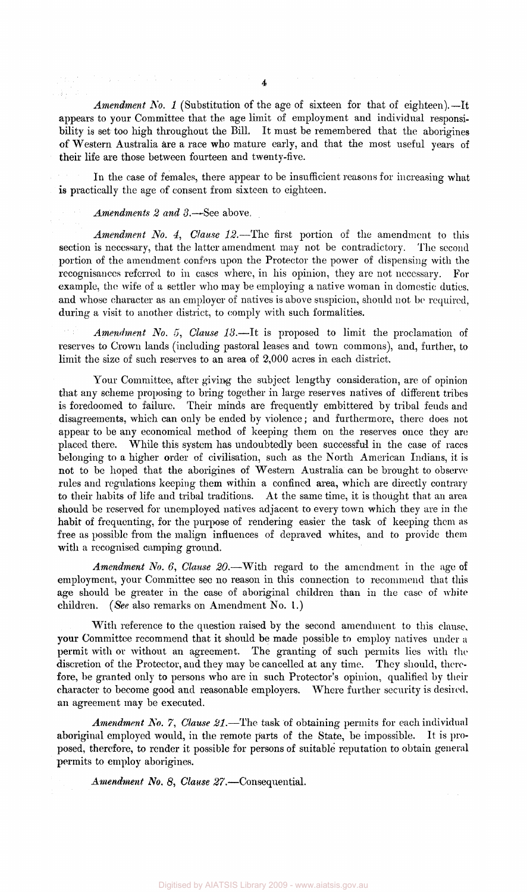*Amendment No. 1* (Substitution of the age of sixteen for that of eighteen).—It appears to your Committee that the age limit of employment and individual responsibility is set too high throughout the Bill. It must be remembered that the aborigines of Western Australia are a race who mature early, and that the most useful years of their life are those between fourteen and twenty-five.

In the case of females, there appear to be insufficient reasons for increasing what is practically the age of consent from sixteen to eighteen.

### *Amendments 2 and 3.*—See above.

*Amendment No. 4, Clause 12.*—The first portion of the amendment to this section is necessary, that the latter amendment may not be contradictory. The second portion of the amendment confers upon the Protector the power of dispensing with the recognisances referred to in cases where, in his opinion, they are not necessary. For example, the wife of a settler who may be employing a native woman in domestic duties, and whose character as an employer of natives is above suspicion, should not be required, during a visit to another district, to comply with such formalities.

*Amendment No. 5, Clause 13.*—It is proposed to limit the proclamation of reserves to Crown lands (including pastoral leases and town commons), and, further, to limit the size of such reserves to an area of 2,000 acres in each district.

Your Committee, after giving the subject lengthy consideration, are of opinion that any scheme proposing to bring together in large reserves natives of different tribes is foredoomed to failure. Their minds are frequently embittered by tribal feuds and disagreements, which can only be ended by violence; and furthermore, there does not appear to be any economical method of keeping them on the reserves once they are placed there. While this system has undoubtedly been successful in the case of races belonging to a higher order of civilisation, such as the North American Indians, it is not to be hoped that the aborigines of Western Australia can be brought to observe rules and regulations keeping them within a confined area, which are directly contrary to their habits of life and tribal traditions. At the same time, it is thought that an area should be reserved for unemployed natives adjacent to every town which they are in the habit of frequenting, for the purpose of rendering easier the task of keeping them as free as possible from the malign influences of depraved whites, and to provide them with a recognised camping ground.

*Amendment No. 6, Clause 20.—*With regard to the amendment in the age of employment, your Committee see no reason in this connection to recommend that this age should be greater in the case of aboriginal children than in the case of white children. *(See* also remarks on Amendment No. I.)

With reference to the question raised by the second amendment to this clause, your Committee recommend that it should be made possible to employ natives under a permit with or without an agreement. The granting of such permits lies with the discretion of the Protector, and they may be cancelled at any time. They should, therefore, be granted only to persons who are in such Protector's opinion, qualified by their character to become good and reasonable employers. Where further security is desired, an agreement may be executed.

*Amendment No. 7, Clause 21.*—The task of obtaining permits for each individual aboriginal employed would, in the remote parts of the State, be impossible. It is proposed, therefore, to render it possible for persons of suitable reputation to obtain general permits to employ aborigines.

*Amendment No. 8, Clause 27.*—Consequential.